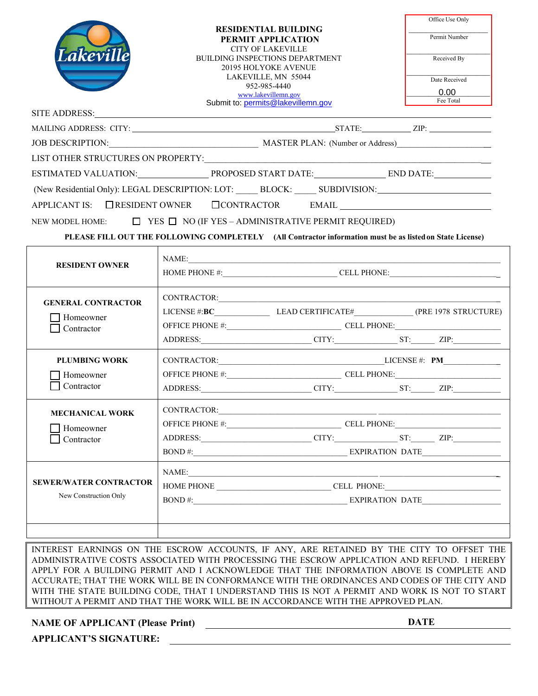|                                                                     | <b>RESIDENTIAL BUILDING</b><br>PERMIT APPLICATION<br><b>CITY OF LAKEVILLE</b><br>BUILDING INSPECTIONS DEPARTMENT<br><b>20195 HOLYOKE AVENUE</b> |                                                                                                          | Office Use Only                             |
|---------------------------------------------------------------------|-------------------------------------------------------------------------------------------------------------------------------------------------|----------------------------------------------------------------------------------------------------------|---------------------------------------------|
|                                                                     |                                                                                                                                                 |                                                                                                          | Permit Number                               |
| Lakeville                                                           |                                                                                                                                                 |                                                                                                          | Received By                                 |
|                                                                     |                                                                                                                                                 | LAKEVILLE, MN 55044<br>952-985-4440                                                                      | Date Received                               |
|                                                                     |                                                                                                                                                 | www.lakevillemn.gov                                                                                      | 0.00<br>Fee Total                           |
| SITE ADDRESS:                                                       |                                                                                                                                                 | Submit to: permits@lakevillemn.gov                                                                       |                                             |
|                                                                     |                                                                                                                                                 |                                                                                                          |                                             |
|                                                                     | JOB DESCRIPTION: MASTER PLAN: (Number or Address)                                                                                               |                                                                                                          |                                             |
|                                                                     |                                                                                                                                                 |                                                                                                          |                                             |
|                                                                     |                                                                                                                                                 |                                                                                                          |                                             |
| (New Residential Only): LEGAL DESCRIPTION: LOT: BLOCK: SUBDIVISION: |                                                                                                                                                 |                                                                                                          |                                             |
| APPLICANT IS: CRESIDENT OWNER CONTRACTOR EMAIL                      |                                                                                                                                                 |                                                                                                          |                                             |
| NEW MODEL HOME:                                                     |                                                                                                                                                 | $\Box$ YES $\Box$ NO (IF YES – ADMINISTRATIVE PERMIT REQUIRED)                                           |                                             |
|                                                                     |                                                                                                                                                 | PLEASE FILL OUT THE FOLLOWING COMPLETELY (All Contractor information must be as listed on State License) |                                             |
|                                                                     |                                                                                                                                                 |                                                                                                          |                                             |
| <b>RESIDENT OWNER</b>                                               |                                                                                                                                                 | NAME:                                                                                                    |                                             |
|                                                                     | HOME PHONE #: CELL PHONE:                                                                                                                       |                                                                                                          |                                             |
| <b>GENERAL CONTRACTOR</b><br>Homeowner<br>Contractor                |                                                                                                                                                 |                                                                                                          |                                             |
|                                                                     |                                                                                                                                                 |                                                                                                          |                                             |
|                                                                     |                                                                                                                                                 |                                                                                                          |                                             |
|                                                                     |                                                                                                                                                 |                                                                                                          | ADDRESS: CITY: CITY: ST: ZIP:               |
| <b>PLUMBING WORK</b>                                                | $CONTRACTOR: EM LLICENSE #: PM LM ML ML ML ML ML ML ML ML ML ML ML ML ML ML ML ML ML ML ML ML ML ML ML ML ML ML ML$                             |                                                                                                          |                                             |
| Homeowner                                                           |                                                                                                                                                 |                                                                                                          |                                             |
| Contractor                                                          |                                                                                                                                                 |                                                                                                          | ADDRESS: CITY: CITY: CITY: CITY: CITY: ZIP: |
|                                                                     |                                                                                                                                                 |                                                                                                          |                                             |
| <b>MECHANICAL WORK</b>                                              | CONTRACTOR:                                                                                                                                     |                                                                                                          |                                             |
| Homeowner<br>Contractor                                             |                                                                                                                                                 |                                                                                                          | ADDRESS: <u>CITY: ST: ZIP:</u>              |
|                                                                     |                                                                                                                                                 |                                                                                                          |                                             |
| <b>SEWER/WATER CONTRACTOR</b><br>New Construction Only              |                                                                                                                                                 |                                                                                                          |                                             |
|                                                                     | NAME:<br><u> 1989 - Jan Barnett, fransk politik (f. 1989)</u>                                                                                   |                                                                                                          |                                             |
|                                                                     |                                                                                                                                                 |                                                                                                          |                                             |
|                                                                     |                                                                                                                                                 |                                                                                                          |                                             |
|                                                                     |                                                                                                                                                 |                                                                                                          |                                             |
|                                                                     |                                                                                                                                                 |                                                                                                          |                                             |

INTEREST EARNINGS ON THE ESCROW ACCOUNTS, IF ANY, ARE RETAINED BY THE CITY TO OFFSET THE ADMINISTRATIVE COSTS ASSOCIATED WITH PROCESSING THE ESCROW APPLICATION AND REFUND. I HEREBY APPLY FOR A BUILDING PERMIT AND I ACKNOWLEDGE THAT THE INFORMATION ABOVE IS COMPLETE AND ACCURATE; THAT THE WORK WILL BE IN CONFORMANCE WITH THE ORDINANCES AND CODES OF THE CITY AND WITH THE STATE BUILDING CODE, THAT I UNDERSTAND THIS IS NOT A PERMIT AND WORK IS NOT TO START WITHOUT A PERMIT AND THAT THE WORK WILL BE IN ACCORDANCE WITH THE APPROVED PLAN.

**NAME OF APPLICANT (Please Print) DATE**

**APPLICANT'S SIGNATURE:**